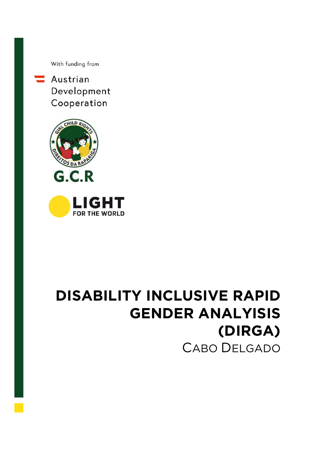With funding from

 $\equiv$  Austrian Development Cooperation



# **DISABILITY INCLUSIVE RAPID GENDER ANALYISIS (DIRGA)** CABO DELGADO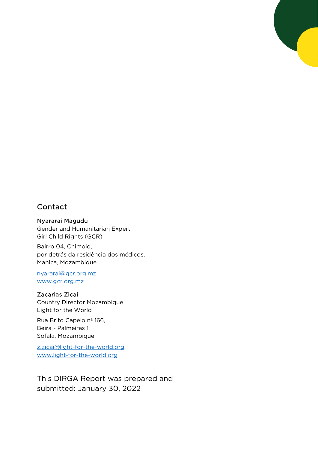## Contact

#### Nyararai Magudu

Gender and Humanitarian Expert Girl Child Rights (GCR)

Bairro 04, Chimoio, por detrás da residência dos médicos, Manica, Mozambique

nyararai@gcr.org.mz www.gcr.org.mz

#### Zacarias Zicai

Country Director Mozambique Light for the World

Rua Brito Capelo nº 166, Beira - Palmeiras 1 Sofala, Mozambique

z.zicai@light-for-the-world.org www.light-for-the-world.org

This DIRGA Report was prepared and submitted: January 30, 2022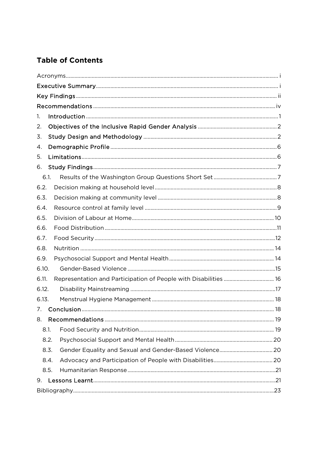## **Table of Contents**

| 1.                                                                        |  |
|---------------------------------------------------------------------------|--|
| 2.                                                                        |  |
| 3.                                                                        |  |
| 4.                                                                        |  |
| 5.                                                                        |  |
| 6.                                                                        |  |
| 6.1.                                                                      |  |
| 6.2.                                                                      |  |
| 6.3.                                                                      |  |
| 6.4.                                                                      |  |
| 6.5.                                                                      |  |
| 6.6.                                                                      |  |
| 6.7.                                                                      |  |
| 6.8.                                                                      |  |
| 6.9.                                                                      |  |
| 6.10.                                                                     |  |
| Representation and Participation of People with Disabilities  16<br>6.11. |  |
| 6.12.                                                                     |  |
| 6.13.                                                                     |  |
| 7.                                                                        |  |
| 8.                                                                        |  |
| 8.1.                                                                      |  |
| 8.2.                                                                      |  |
| 8.3.                                                                      |  |
| 8.4.                                                                      |  |
| 8.5.                                                                      |  |
| 9.                                                                        |  |
|                                                                           |  |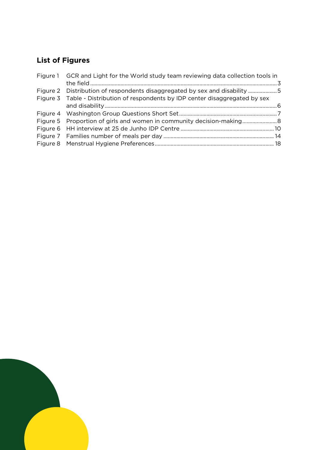## **List of Figures**

| Figure 1 GCR and Light for the World study team reviewing data collection tools in |  |
|------------------------------------------------------------------------------------|--|
|                                                                                    |  |
| Figure 2 Distribution of respondents disaggregated by sex and disability 5         |  |
| Figure 3 Table - Distribution of respondents by IDP center disaggregated by sex    |  |
|                                                                                    |  |
|                                                                                    |  |
|                                                                                    |  |
|                                                                                    |  |
|                                                                                    |  |
|                                                                                    |  |

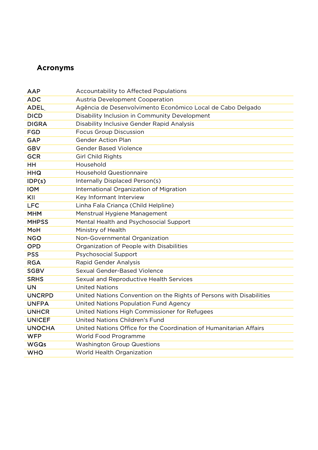## **Acronyms**

| <b>AAP</b>    | Accountability to Affected Populations                               |
|---------------|----------------------------------------------------------------------|
| <b>ADC</b>    | Austria Development Cooperation                                      |
| <b>ADEL</b>   | Agência de Desenvolvimento Econômico Local de Cabo Delgado           |
| <b>DICD</b>   | Disability Inclusion in Community Development                        |
| <b>DIGRA</b>  | Disability Inclusive Gender Rapid Analysis                           |
| <b>FGD</b>    | <b>Focus Group Discussion</b>                                        |
| <b>GAP</b>    | <b>Gender Action Plan</b>                                            |
| <b>GBV</b>    | <b>Gender Based Violence</b>                                         |
| <b>GCR</b>    | <b>Girl Child Rights</b>                                             |
| <b>HH</b>     | Household                                                            |
| <b>HHQ</b>    | <b>Household Questionnaire</b>                                       |
| IDP(s)        | Internally Displaced Person(s)                                       |
| <b>IOM</b>    | International Organization of Migration                              |
| KII           | Key Informant Interview                                              |
| <b>LFC</b>    | Linha Fala Criança (Child Helpline)                                  |
| <b>MHM</b>    | Menstrual Hygiene Management                                         |
| <b>MHPSS</b>  | Mental Health and Psychosocial Support                               |
| MoH           | Ministry of Health                                                   |
| <b>NGO</b>    | Non-Governmental Organization                                        |
| <b>OPD</b>    | Organization of People with Disabilities                             |
| <b>PSS</b>    | <b>Psychosocial Support</b>                                          |
| <b>RGA</b>    | Rapid Gender Analysis                                                |
| <b>SGBV</b>   | Sexual Gender-Based Violence                                         |
| <b>SRHS</b>   | Sexual and Reproductive Health Services                              |
| <b>UN</b>     | <b>United Nations</b>                                                |
| <b>UNCRPD</b> | United Nations Convention on the Rights of Persons with Disabilities |
| <b>UNFPA</b>  | United Nations Population Fund Agency                                |
| <b>UNHCR</b>  | United Nations High Commissioner for Refugees                        |
| <b>UNICEF</b> | United Nations Children's Fund                                       |
| <b>UNOCHA</b> | United Nations Office for the Coordination of Humanitarian Affairs   |
| <b>WFP</b>    | World Food Programme                                                 |
| <b>WGQs</b>   | <b>Washington Group Questions</b>                                    |
| <b>WHO</b>    | World Health Organization                                            |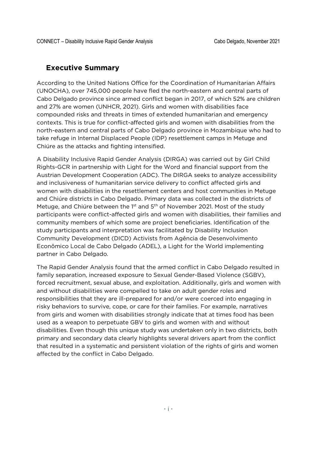#### **Executive Summary**

According to the United Nations Office for the Coordination of Humanitarian Affairs (UNOCHA), over 745,000 people have fled the north-eastern and central parts of Cabo Delgado province since armed conflict began in 2017, of which 52% are children and 27% are women (UNHCR, 2021). Girls and women with disabilities face compounded risks and threats in times of extended humanitarian and emergency contexts. This is true for conflict-affected girls and women with disabilities from the north-eastern and central parts of Cabo Delgado province in Mozambique who had to take refuge in Internal Displaced People (IDP) resettlement camps in Metuge and Chiúre as the attacks and fighting intensified.

A Disability Inclusive Rapid Gender Analysis (DIRGA) was carried out by Girl Child Rights-GCR in partnership with Light for the Word and financial support from the Austrian Development Cooperation (ADC). The DIRGA seeks to analyze accessibility and inclusiveness of humanitarian service delivery to conflict affected girls and women with disabilities in the resettlement centers and host communities in Metuge and Chiúre districts in Cabo Delgado. Primary data was collected in the districts of Metuge, and Chiúre between the 1<sup>st</sup> and 5<sup>th</sup> of November 2021. Most of the study participants were conflict-affected girls and women with disabilities, their families and community members of which some are project beneficiaries. Identification of the study participants and interpretation was facilitated by Disability Inclusion Community Development (DICD) Activists from Agência de Desenvolvimento Econômico Local de Cabo Delgado (ADEL), a Light for the World implementing partner in Cabo Delgado.

The Rapid Gender Analysis found that the armed conflict in Cabo Delgado resulted in family separation, increased exposure to Sexual Gender-Based Violence (SGBV), forced recruitment, sexual abuse, and exploitation. Additionally, girls and women with and without disabilities were compelled to take on adult gender roles and responsibilities that they are ill-prepared for and/or were coerced into engaging in risky behaviors to survive, cope, or care for their families. For example, narratives from girls and women with disabilities strongly indicate that at times food has been used as a weapon to perpetuate GBV to girls and women with and without disabilities. Even though this unique study was undertaken only in two districts, both primary and secondary data clearly highlights several drivers apart from the conflict that resulted in a systematic and persistent violation of the rights of girls and women affected by the conflict in Cabo Delgado.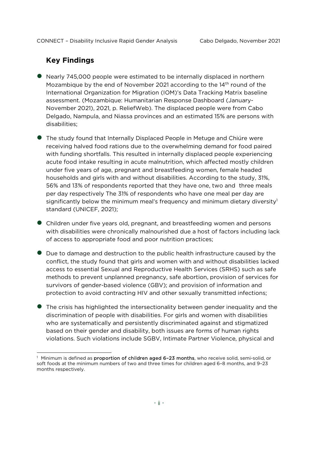#### **Key Findings**

- Nearly 745,000 people were estimated to be internally displaced in northern Mozambique by the end of November 2021 according to the 14<sup>th</sup> round of the International Organization for Migration (IOM)'s Data Tracking Matrix baseline assessment. (Mozambique: Humanitarian Response Dashboard (January-November 2021), 2021, p. ReliefWeb). The displaced people were from Cabo Delgado, Nampula, and Niassa provinces and an estimated 15% are persons with disabilities;
- The study found that Internally Displaced People in Metuge and Chiúre were receiving halved food rations due to the overwhelming demand for food paired with funding shortfalls. This resulted in internally displaced people experiencing acute food intake resulting in acute malnutrition, which affected mostly children under five years of age, pregnant and breastfeeding women, female headed households and girls with and without disabilities. According to the study, 31%, 56% and 13% of respondents reported that they have one, two and three meals per day respectively The 31% of respondents who have one meal per day are significantly below the minimum meal's frequency and minimum dietary diversity<sup>1</sup> standard (UNICEF, 2021);
- Children under five years old, pregnant, and breastfeeding women and persons with disabilities were chronically malnourished due a host of factors including lack of access to appropriate food and poor nutrition practices;
- Due to damage and destruction to the public health infrastructure caused by the conflict, the study found that girls and women with and without disabilities lacked access to essential Sexual and Reproductive Health Services (SRHS) such as safe methods to prevent unplanned pregnancy, safe abortion, provision of services for survivors of gender-based violence (GBV); and provision of information and protection to avoid contracting HIV and other sexually transmitted infections;
- The crisis has highlighted the intersectionality between gender inequality and the discrimination of people with disabilities. For girls and women with disabilities who are systematically and persistently discriminated against and stigmatized based on their gender and disability, both issues are forms of human rights violations. Such violations include SGBV, Intimate Partner Violence, physical and

<sup>&</sup>lt;sup>1</sup> Minimum is defined as proportion of children aged 6-23 months, who receive solid, semi-solid, or soft foods at the minimum numbers of two and three times for children aged 6–8 months, and 9–23 months respectively.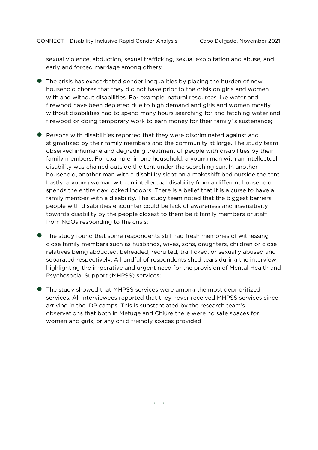sexual violence, abduction, sexual trafficking, sexual exploitation and abuse, and early and forced marriage among others;

- The crisis has exacerbated gender inequalities by placing the burden of new household chores that they did not have prior to the crisis on girls and women with and without disabilities. For example, natural resources like water and firewood have been depleted due to high demand and girls and women mostly without disabilities had to spend many hours searching for and fetching water and firewood or doing temporary work to earn money for their family´s sustenance;
- Persons with disabilities reported that they were discriminated against and stigmatized by their family members and the community at large. The study team observed inhumane and degrading treatment of people with disabilities by their family members. For example, in one household, a young man with an intellectual disability was chained outside the tent under the scorching sun. In another household, another man with a disability slept on a makeshift bed outside the tent. Lastly, a young woman with an intellectual disability from a different household spends the entire day locked indoors. There is a belief that it is a curse to have a family member with a disability. The study team noted that the biggest barriers people with disabilities encounter could be lack of awareness and insensitivity towards disability by the people closest to them be it family members or staff from NGOs responding to the crisis;
- The study found that some respondents still had fresh memories of witnessing close family members such as husbands, wives, sons, daughters, children or close relatives being abducted, beheaded, recruited, trafficked, or sexually abused and separated respectively. A handful of respondents shed tears during the interview, highlighting the imperative and urgent need for the provision of Mental Health and Psychosocial Support (MHPSS) services;
- The study showed that MHPSS services were among the most deprioritized services. All interviewees reported that they never received MHPSS services since arriving in the IDP camps. This is substantiated by the research team's observations that both in Metuge and Chiúre there were no safe spaces for women and girls, or any child friendly spaces provided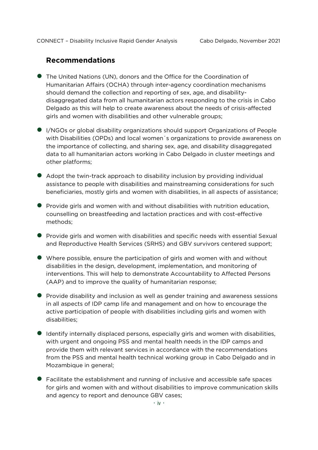#### **Recommendations**

- The United Nations (UN), donors and the Office for the Coordination of Humanitarian Affairs (OCHA) through inter-agency coordination mechanisms should demand the collection and reporting of sex, age, and disabilitydisaggregated data from all humanitarian actors responding to the crisis in Cabo Delgado as this will help to create awareness about the needs of crisis-affected girls and women with disabilities and other vulnerable groups;
- I/NGOs or global disability organizations should support Organizations of People with Disabilities (OPDs) and local women´s organizations to provide awareness on the importance of collecting, and sharing sex, age, and disability disaggregated data to all humanitarian actors working in Cabo Delgado in cluster meetings and other platforms;
- Adopt the twin-track approach to disability inclusion by providing individual assistance to people with disabilities and mainstreaming considerations for such beneficiaries, mostly girls and women with disabilities, in all aspects of assistance;
- Provide girls and women with and without disabilities with nutrition education, counselling on breastfeeding and lactation practices and with cost-effective methods;
- **•** Provide girls and women with disabilities and specific needs with essential Sexual and Reproductive Health Services (SRHS) and GBV survivors centered support;
- Where possible, ensure the participation of girls and women with and without disabilities in the design, development, implementation, and monitoring of interventions. This will help to demonstrate Accountability to Affected Persons (AAP) and to improve the quality of humanitarian response;
- Provide disability and inclusion as well as gender training and awareness sessions in all aspects of IDP camp life and management and on how to encourage the active participation of people with disabilities including girls and women with disabilities;
- Identify internally displaced persons, especially girls and women with disabilities, with urgent and ongoing PSS and mental health needs in the IDP camps and provide them with relevant services in accordance with the recommendations from the PSS and mental health technical working group in Cabo Delgado and in Mozambique in general;
- Facilitate the establishment and running of inclusive and accessible safe spaces for girls and women with and without disabilities to improve communication skills and agency to report and denounce GBV cases;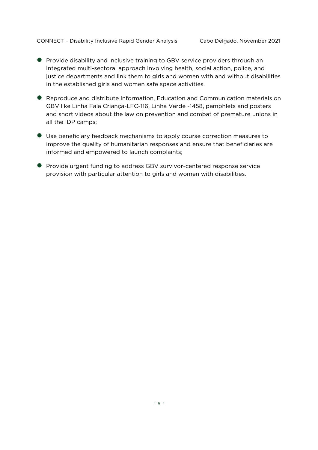- **•** Provide disability and inclusive training to GBV service providers through an integrated multi-sectoral approach involving health, social action, police, and justice departments and link them to girls and women with and without disabilities in the established girls and women safe space activities.
- Reproduce and distribute Information, Education and Communication materials on GBV like Linha Fala Criança-LFC-116, Linha Verde -1458, pamphlets and posters and short videos about the law on prevention and combat of premature unions in all the IDP camps;
- Use beneficiary feedback mechanisms to apply course correction measures to improve the quality of humanitarian responses and ensure that beneficiaries are informed and empowered to launch complaints;
- Provide urgent funding to address GBV survivor-centered response service provision with particular attention to girls and women with disabilities.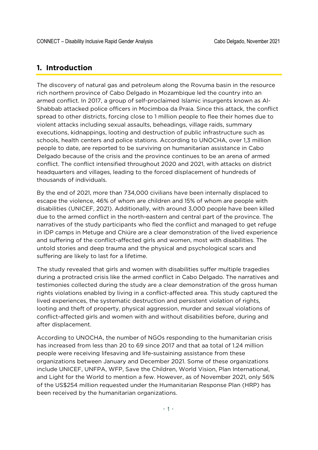#### **1. Introduction**

The discovery of natural gas and petroleum along the Rovuma basin in the resource rich northern province of Cabo Delgado in Mozambique led the country into an armed conflict. In 2017, a group of self-proclaimed Islamic insurgents known as Al-Shabbab attacked police officers in Mocimboa da Praia. Since this attack, the conflict spread to other districts, forcing close to 1 million people to flee their homes due to violent attacks including sexual assaults, beheadings, village raids, summary executions, kidnappings, looting and destruction of public infrastructure such as schools, health centers and police stations. According to UNOCHA, over 1,3 million people to date, are reported to be surviving on humanitarian assistance in Cabo Delgado because of the crisis and the province continues to be an arena of armed conflict. The conflict intensified throughout 2020 and 2021, with attacks on district headquarters and villages, leading to the forced displacement of hundreds of thousands of individuals.

By the end of 2021, more than 734,000 civilians have been internally displaced to escape the violence, 46% of whom are children and 15% of whom are people with disabilities (UNICEF, 2021). Additionally, with around 3,000 people have been killed due to the armed conflict in the north-eastern and central part of the province. The narratives of the study participants who fled the conflict and managed to get refuge in IDP camps in Metuge and Chiúre are a clear demonstration of the lived experience and suffering of the conflict-affected girls and women, most with disabilities. The untold stories and deep trauma and the physical and psychological scars and suffering are likely to last for a lifetime.

The study revealed that girls and women with disabilities suffer multiple tragedies during a protracted crisis like the armed conflict in Cabo Delgado. The narratives and testimonies collected during the study are a clear demonstration of the gross human rights violations enabled by living in a conflict-affected area. This study captured the lived experiences, the systematic destruction and persistent violation of rights, looting and theft of property, physical aggression, murder and sexual violations of conflict-affected girls and women with and without disabilities before, during and after displacement.

According to UNOCHA, the number of NGOs responding to the humanitarian crisis has increased from less than 20 to 69 since 2017 and that aa total of 1.24 million people were receiving lifesaving and life-sustaining assistance from these organizations between January and December 2021. Some of these organizations include UNICEF, UNFPA, WFP, Save the Children, World Vision, Plan International, and Light for the World to mention a few. However, as of November 2021, only 56% of the US\$254 million requested under the Humanitarian Response Plan (HRP) has been received by the humanitarian organizations.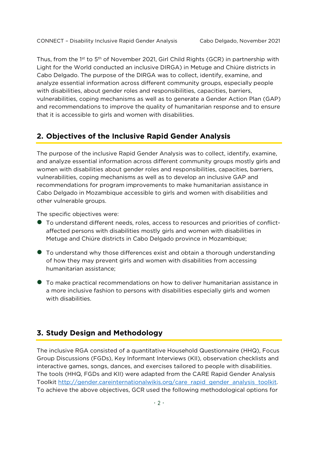Thus, from the 1st to 5<sup>th</sup> of November 2021, Girl Child Rights (GCR) in partnership with Light for the World conducted an inclusive DIRGA) in Metuge and Chiúre districts in Cabo Delgado. The purpose of the DIRGA was to collect, identify, examine, and analyze essential information across different community groups, especially people with disabilities, about gender roles and responsibilities, capacities, barriers, vulnerabilities, coping mechanisms as well as to generate a Gender Action Plan (GAP) and recommendations to improve the quality of humanitarian response and to ensure that it is accessible to girls and women with disabilities.

### **2. Objectives of the Inclusive Rapid Gender Analysis**

The purpose of the inclusive Rapid Gender Analysis was to collect, identify, examine, and analyze essential information across different community groups mostly girls and women with disabilities about gender roles and responsibilities, capacities, barriers, vulnerabilities, coping mechanisms as well as to develop an inclusive GAP and recommendations for program improvements to make humanitarian assistance in Cabo Delgado in Mozambique accessible to girls and women with disabilities and other vulnerable groups.

The specific objectives were:

- To understand different needs, roles, access to resources and priorities of conflictaffected persons with disabilities mostly girls and women with disabilities in Metuge and Chiúre districts in Cabo Delgado province in Mozambique;
- To understand why those differences exist and obtain a thorough understanding of how they may prevent girls and women with disabilities from accessing humanitarian assistance;
- To make practical recommendations on how to deliver humanitarian assistance in a more inclusive fashion to persons with disabilities especially girls and women with disabilities.

#### **3. Study Design and Methodology**

The inclusive RGA consisted of a quantitative Household Questionnaire (HHQ), Focus Group Discussions (FGDs), Key Informant Interviews (KII), observation checklists and interactive games, songs, dances, and exercises tailored to people with disabilities. The tools (HHQ, FGDs and KII) were adapted from the CARE Rapid Gender Analysis Toolkit http://gender.careinternationalwikis.org/care\_rapid\_gender\_analysis\_toolkit. To achieve the above objectives, GCR used the following methodological options for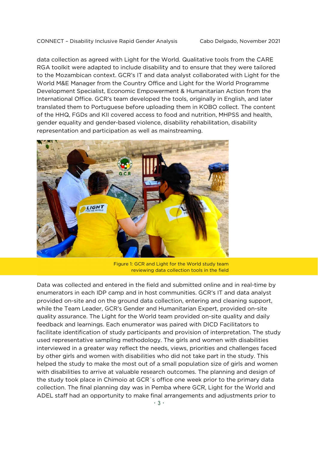data collection as agreed with Light for the World. Qualitative tools from the CARE RGA toolkit were adapted to include disability and to ensure that they were tailored to the Mozambican context. GCR's IT and data analyst collaborated with Light for the World M&E Manager from the Country Office and Light for the World Programme Development Specialist, Economic Empowerment & Humanitarian Action from the International Office. GCR's team developed the tools, originally in English, and later translated them to Portuguese before uploading them in KOBO collect. The content of the HHQ, FGDs and KII covered access to food and nutrition, MHPSS and health, gender equality and gender-based violence, disability rehabilitation, disability representation and participation as well as mainstreaming.



Figure 1: GCR and Light for the World study team reviewing data collection tools in the field

Data was collected and entered in the field and submitted online and in real-time by enumerators in each IDP camp and in host communities. GCR's IT and data analyst provided on-site and on the ground data collection, entering and cleaning support, while the Team Leader, GCR's Gender and Humanitarian Expert, provided on-site quality assurance. The Light for the World team provided on-site quality and daily feedback and learnings. Each enumerator was paired with DICD Facilitators to facilitate identification of study participants and provision of interpretation. The study used representative sampling methodology. The girls and women with disabilities interviewed in a greater way reflect the needs, views, priorities and challenges faced by other girls and women with disabilities who did not take part in the study. This helped the study to make the most out of a small population size of girls and women with disabilities to arrive at valuable research outcomes. The planning and design of the study took place in Chimoio at GCR´s office one week prior to the primary data collection. The final planning day was in Pemba where GCR, Light for the World and ADEL staff had an opportunity to make final arrangements and adjustments prior to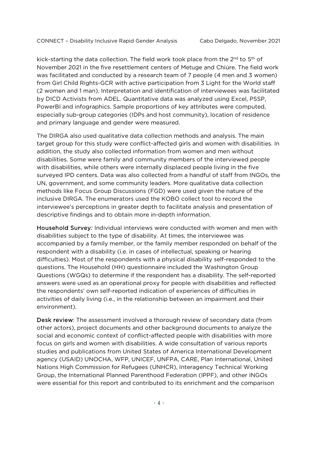kick-starting the data collection. The field work took place from the 2<sup>nd</sup> to 5<sup>th</sup> of November 2021 in the five resettlement centers of Metuge and Chiúre. The field work was facilitated and conducted by a research team of 7 people (4 men and 3 women) from Girl Child Rights-GCR with active participation from 3 Light for the World staff (2 women and 1 man). Interpretation and identification of interviewees was facilitated by DICD Activists from ADEL. Quantitative data was analyzed using Excel, PSSP, PowerBI and infographics. Sample proportions of key attributes were computed, especially sub-group categories (IDPs and host community), location of residence and primary language and gender were measured.

The DIRGA also used qualitative data collection methods and analysis. The main target group for this study were conflict-affected girls and women with disabilities. In addition, the study also collected information from women and men without disabilities. Some were family and community members of the interviewed people with disabilities, while others were internally displaced people living in the five surveyed IPD centers. Data was also collected from a handful of staff from INGOs, the UN, government, and some community leaders. More qualitative data collection methods like Focus Group Discussions (FGD) were used given the nature of the inclusive DIRGA. The enumerators used the KOBO collect tool to record the interviewee's perceptions in greater depth to facilitate analysis and presentation of descriptive findings and to obtain more in-depth information.

Household Survey*:* Individual interviews were conducted with women and men with disabilities subject to the type of disability. At times, the interviewee was accompanied by a family member, or the family member responded on behalf of the respondent with a disability (i.e. in cases of intellectual, speaking or hearing difficulties). Most of the respondents with a physical disability self-responded to the questions. The Household (HH) questionnaire included the Washington Group Questions (WGQs) to determine if the respondent has a disability. The self-reported answers were used as an operational proxy for people with disabilities and reflected the respondents' own self-reported indication of experiences of difficulties in activities of daily living (i.e., in the relationship between an impairment and their environment).

Desk review: The assessment involved a thorough review of secondary data (from other actors), project documents and other background documents to analyze the social and economic context of conflict-affected people with disabilities with more focus on girls and women with disabilities. A wide consultation of various reports studies and publications from United States of America International Development agency (USAID) UNOCHA, WFP, UNICEF, UNFPA, CARE, Plan International, United Nations High Commission for Refugees (UNHCR), Interagency Technical Working Group, the International Planned Parenthood Federation (IPPF), and other INGOs were essential for this report and contributed to its enrichment and the comparison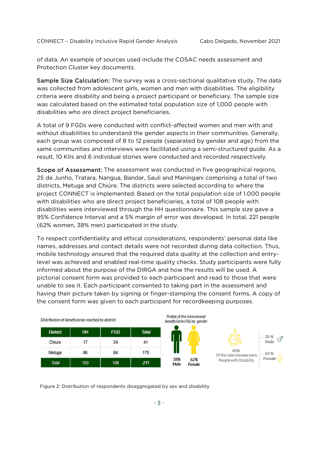of data. An example of sources used include the COSAC needs assessment and Protection Cluster key documents.

Sample Size Calculation: The survey was a cross-sectional qualitative study. The data was collected from adolescent girls, women and men with disabilities. The eligibility criteria were disability and being a project participant or beneficiary. The sample size was calculated based on the estimated total population size of 1,000 people with disabilities who are direct project beneficiaries.

A total of 9 FGDs were conducted with conflict-affected women and men with and without disabilities to understand the gender aspects in their communities. Generally, each group was composed of 8 to 12 people (separated by gender and age) from the same communities and interviews were facilitated using a semi-structured guide. As a result, 10 KIIs and 6 individual stories were conducted and recorded respectively.

Scope of Assessment: The assessment was conducted in five geographical regions, 25 de Junho, Tratara, Nangua, Bandar, Sauli and Maningani comprising a total of two districts, Metuge and Chiúre. The districts were selected according to where the project CONNECT is implemented. Based on the total population size of 1.000 people with disabilities who are direct project beneficiaries, a total of 108 people with disabilities were interviewed through the HH questionnaire. This sample size gave a 95% Confidence Interval and a 5% margin of error was developed. In total, 221 people (62% women, 38% men) participated in the study.

To respect confidentiality and ethical considerations, respondents' personal data like names, addresses and contact details were not recorded during data collection. Thus, mobile technology ensured that the required data quality at the collection and entrylevel was achieved and enabled real-time quality checks. Study participants were fully informed about the purpose of the DIRGA and how the results will be used. A pictorial consent form was provided to each participant and read to those that were unable to see it. Each participant consented to taking part in the assessment and having their picture taken by signing or finger-stamping the consent forms. A copy of the consent form was given to each participant for recordkeeping purposes.



Figure 2: Distribution of respondents disaggregated by sex and disability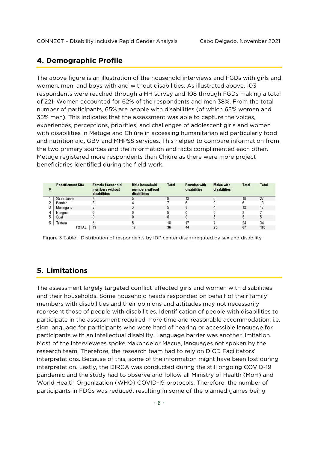#### **4. Demographic Profile**

The above figure is an illustration of the household interviews and FGDs with girls and women, men, and boys with and without disabilities. As illustrated above, 103 respondents were reached through a HH survey and 108 through FGDs making a total of 221. Women accounted for 62% of the respondents and men 38%. From the total number of participants, 65% are people with disabilities (of which 65% women and 35% men). This indicates that the assessment was able to capture the voices, experiences, perceptions, priorities, and challenges of adolescent girls and women with disabilities in Metuge and Chiúre in accessing humanitarian aid particularly food and nutrition aid, GBV and MHPSS services. This helped to compare information from the two primary sources and the information and facts complimented each other. Metuge registered more respondents than Chiure as there were more project beneficiaries identified during the field work.

| <b>Resettlement Site</b> | Female household<br>members without<br>disabilities | Male household<br>members without<br>disabilities | Total | <b>Females with</b><br>disabilities | Males with<br>disabilities | Total | Total |
|--------------------------|-----------------------------------------------------|---------------------------------------------------|-------|-------------------------------------|----------------------------|-------|-------|
| 25 de Junho              |                                                     |                                                   |       | 13                                  |                            |       | 27    |
| Bandar                   |                                                     |                                                   |       |                                     |                            |       |       |
| Maningane                |                                                     |                                                   |       |                                     |                            |       |       |
| Nangua                   |                                                     |                                                   |       |                                     |                            |       |       |
| Sual                     |                                                     |                                                   |       |                                     |                            |       |       |
| Tratara                  |                                                     |                                                   | 10    |                                     |                            | 24    | 34    |
| TOTAL                    | 19                                                  |                                                   | 36    | 44                                  | 23                         | 67    | 103   |

Figure 3 Table - Distribution of respondents by IDP center disaggregated by sex and disability

#### **5. Limitations**

The assessment largely targeted conflict-affected girls and women with disabilities and their households. Some household heads responded on behalf of their family members with disabilities and their opinions and attitudes may not necessarily represent those of people with disabilities. Identification of people with disabilities to participate in the assessment required more time and reasonable accommodation, i.e. sign language for participants who were hard of hearing or accessible language for participants with an intellectual disability. Language barrier was another limitation. Most of the interviewees spoke Makonde or Macua, languages not spoken by the research team. Therefore, the research team had to rely on DICD Facilitators' interpretations. Because of this, some of the information might have been lost during interpretation. Lastly, the DIRGA was conducted during the still ongoing COVID-19 pandemic and the study had to observe and follow all Ministry of Health (MoH) and World Health Organization (WHO) COVID-19 protocols. Therefore, the number of participants in FDGs was reduced, resulting in some of the planned games being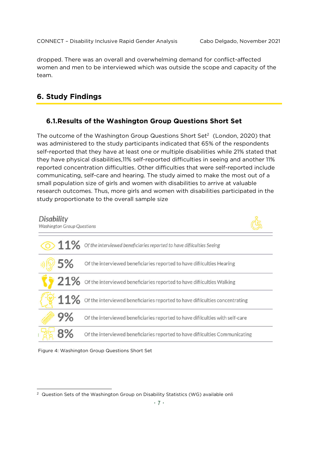dropped. There was an overall and overwhelming demand for conflict-affected women and men to be interviewed which was outside the scope and capacity of the team.

#### **6. Study Findings**

#### **6.1.Results of the Washington Group Questions Short Set**

The outcome of the Washington Group Questions Short Set<sup>2</sup> (London, 2020) that was administered to the study participants indicated that 65% of the respondents self-reported that they have at least one or multiple disabilities while 21% stated that they have physical disabilities,11% self-reported difficulties in seeing and another 11% reported concentration difficulties. Other difficulties that were self-reported include communicating, self-care and hearing. The study aimed to make the most out of a small population size of girls and women with disabilities to arrive at valuable research outcomes. Thus, more girls and women with disabilities participated in the study proportionate to the overall sample size





 <sup>2</sup> Question Sets of the Washington Group on Disability Statistics (WG) available onli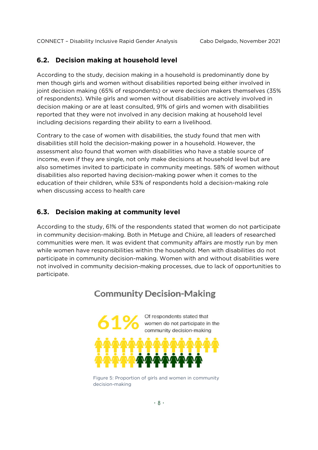#### **6.2. Decision making at household level**

According to the study, decision making in a household is predominantly done by men though girls and women without disabilities reported being either involved in joint decision making (65% of respondents) or were decision makers themselves (35% of respondents). While girls and women without disabilities are actively involved in decision making or are at least consulted, 91% of girls and women with disabilities reported that they were not involved in any decision making at household level including decisions regarding their ability to earn a livelihood.

Contrary to the case of women with disabilities, the study found that men with disabilities still hold the decision-making power in a household. However, the assessment also found that women with disabilities who have a stable source of income, even if they are single, not only make decisions at household level but are also sometimes invited to participate in community meetings. 58% of women without disabilities also reported having decision-making power when it comes to the education of their children, while 53% of respondents hold a decision-making role when discussing access to health care

#### **6.3. Decision making at community level**

According to the study, 61% of the respondents stated that women do not participate in community decision-making. Both in Metuge and Chiúre, all leaders of researched communities were men. It was evident that community affairs are mostly run by men while women have responsibilities within the household. Men with disabilities do not participate in community decision-making. Women with and without disabilities were not involved in community decision-making processes, due to lack of opportunities to participate.

## Of respondents stated that women do not participate in the community decision-making and women in community decision-making

**Community Decision-Making** 

Figure 5: Proportion of girls and women in community decision-making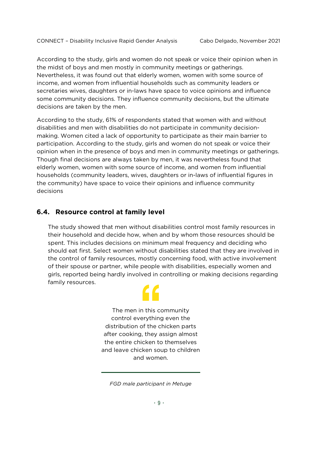According to the study, girls and women do not speak or voice their opinion when in the midst of boys and men mostly in community meetings or gatherings. Nevertheless, it was found out that elderly women, women with some source of income, and women from influential households such as community leaders or secretaries wives, daughters or in-laws have space to voice opinions and influence some community decisions. They influence community decisions, but the ultimate decisions are taken by the men.

According to the study, 61% of respondents stated that women with and without disabilities and men with disabilities do not participate in community decisionmaking. Women cited a lack of opportunity to participate as their main barrier to participation. According to the study, girls and women do not speak or voice their opinion when in the presence of boys and men in community meetings or gatherings. Though final decisions are always taken by men, it was nevertheless found that elderly women, women with some source of income, and women from influential households (community leaders, wives, daughters or in-laws of influential figures in the community) have space to voice their opinions and influence community decisions

#### **6.4. Resource control at family level**

The study showed that men without disabilities control most family resources in their household and decide how, when and by whom those resources should be spent. This includes decisions on minimum meal frequency and deciding who should eat first. Select women without disabilities stated that they are involved in the control of family resources, mostly concerning food, with active involvement of their spouse or partner, while people with disabilities, especially women and girls, reported being hardly involved in controlling or making decisions regarding family resources.

> The men in this community control everything even the distribution of the chicken parts after cooking, they assign almost the entire chicken to themselves and leave chicken soup to children and women.

*FGD male participant in Metuge*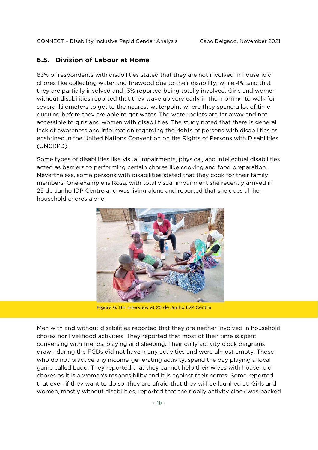#### **6.5. Division of Labour at Home**

83% of respondents with disabilities stated that they are not involved in household chores like collecting water and firewood due to their disability, while 4% said that they are partially involved and 13% reported being totally involved. Girls and women without disabilities reported that they wake up very early in the morning to walk for several kilometers to get to the nearest waterpoint where they spend a lot of time queuing before they are able to get water. The water points are far away and not accessible to girls and women with disabilities. The study noted that there is general lack of awareness and information regarding the rights of persons with disabilities as enshrined in the United Nations Convention on the Rights of Persons with Disabilities (UNCRPD).

Some types of disabilities like visual impairments, physical, and intellectual disabilities acted as barriers to performing certain chores like cooking and food preparation. Nevertheless, some persons with disabilities stated that they cook for their family members. One example is Rosa, with total visual impairment she recently arrived in 25 de Junho IDP Centre and was living alone and reported that she does all her household chores alone.



Figure 6: HH interview at 25 de Junho IDP Centre

Men with and without disabilities reported that they are neither involved in household chores nor livelihood activities. They reported that most of their time is spent conversing with friends, playing and sleeping. Their daily activity clock diagrams drawn during the FGDs did not have many activities and were almost empty. Those who do not practice any income-generating activity, spend the day playing a local game called Ludo. They reported that they cannot help their wives with household chores as it is a woman's responsibility and it is against their norms. Some reported that even if they want to do so, they are afraid that they will be laughed at. Girls and women, mostly without disabilities, reported that their daily activity clock was packed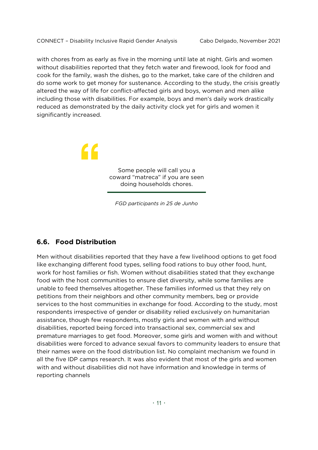with chores from as early as five in the morning until late at night. Girls and women without disabilities reported that they fetch water and firewood, look for food and cook for the family, wash the dishes, go to the market, take care of the children and do some work to get money for sustenance. According to the study, the crisis greatly altered the way of life for conflict-affected girls and boys, women and men alike including those with disabilities. For example, boys and men's daily work drastically reduced as demonstrated by the daily activity clock yet for girls and women it significantly increased.

> " Some people will call you a coward "matreca" if you are seen doing households chores.

> > *FGD participants in 25 de Junho*

#### **6.6. Food Distribution**

Men without disabilities reported that they have a few livelihood options to get food like exchanging different food types, selling food rations to buy other food, hunt, work for host families or fish. Women without disabilities stated that they exchange food with the host communities to ensure diet diversity, while some families are unable to feed themselves altogether. These families informed us that they rely on petitions from their neighbors and other community members, beg or provide services to the host communities in exchange for food. According to the study, most respondents irrespective of gender or disability relied exclusively on humanitarian assistance, though few respondents, mostly girls and women with and without disabilities, reported being forced into transactional sex, commercial sex and premature marriages to get food. Moreover, some girls and women with and without disabilities were forced to advance sexual favors to community leaders to ensure that their names were on the food distribution list. No complaint mechanism we found in all the five IDP camps research. It was also evident that most of the girls and women with and without disabilities did not have information and knowledge in terms of reporting channels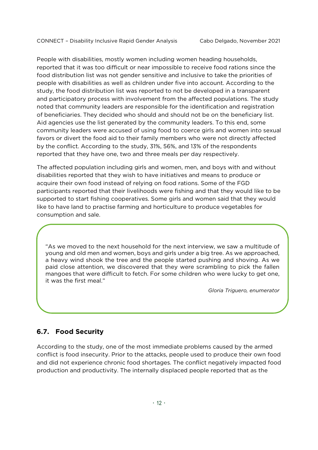People with disabilities, mostly women including women heading households, reported that it was too difficult or near impossible to receive food rations since the food distribution list was not gender sensitive and inclusive to take the priorities of people with disabilities as well as children under five into account. According to the study, the food distribution list was reported to not be developed in a transparent and participatory process with involvement from the affected populations. The study noted that community leaders are responsible for the identification and registration of beneficiaries. They decided who should and should not be on the beneficiary list. Aid agencies use the list generated by the community leaders. To this end, some community leaders were accused of using food to coerce girls and women into sexual favors or divert the food aid to their family members who were not directly affected by the conflict. According to the study, 31%, 56%, and 13% of the respondents reported that they have one, two and three meals per day respectively.

The affected population including girls and women, men, and boys with and without disabilities reported that they wish to have initiatives and means to produce or acquire their own food instead of relying on food rations. Some of the FGD participants reported that their livelihoods were fishing and that they would like to be supported to start fishing cooperatives. Some girls and women said that they would like to have land to practise farming and horticulture to produce vegetables for consumption and sale.

"As we moved to the next household for the next interview, we saw a multitude of young and old men and women, boys and girls under a big tree. As we approached, a heavy wind shook the tree and the people started pushing and shoving. As we paid close attention, we discovered that they were scrambling to pick the fallen mangoes that were difficult to fetch. For some children who were lucky to get one, it was the first meal."

*Gloria Triguero, enumerator*

#### **6.7. Food Security**

According to the study, one of the most immediate problems caused by the armed conflict is food insecurity. Prior to the attacks, people used to produce their own food and did not experience chronic food shortages. The conflict negatively impacted food production and productivity. The internally displaced people reported that as the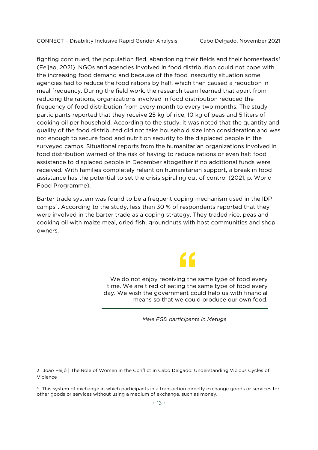fighting continued, the population fled, abandoning their fields and their homesteads<sup>3</sup> (Feijao, 2021). NGOs and agencies involved in food distribution could not cope with the increasing food demand and because of the food insecurity situation some agencies had to reduce the food rations by half, which then caused a reduction in meal frequency. During the field work, the research team learned that apart from reducing the rations, organizations involved in food distribution reduced the frequency of food distribution from every month to every two months. The study participants reported that they receive 25 kg of rice, 10 kg of peas and 5 liters of cooking oil per household. According to the study, it was noted that the quantity and quality of the food distributed did not take household size into consideration and was not enough to secure food and nutrition security to the displaced people in the surveyed camps. Situational reports from the humanitarian organizations involved in food distribution warned of the risk of having to reduce rations or even halt food assistance to displaced people in December altogether if no additional funds were received. With families completely reliant on humanitarian support, a break in food assistance has the potential to set the crisis spiraling out of control (2021, p. World Food Programme).

Barter trade system was found to be a frequent coping mechanism used in the IDP camps4. According to the study, less than 30 % of respondents reported that they were involved in the barter trade as a coping strategy. They traded rice, peas and cooking oil with maize meal, dried fish, groundnuts with host communities and shop owners.

"

We do not enjoy receiving the same type of food every time. We are tired of eating the same type of food every day. We wish the government could help us with financial means so that we could produce our own food.

*Male FGD participants in Metuge*

-

<sup>3</sup> João Feijó | The Role of Women in the Conflict in Cabo Delgado: Understanding Vicious Cycles of Violence

<sup>4</sup> This system of exchange in which participants in a transaction directly exchange goods or services for other goods or services without using a medium of exchange, such as money.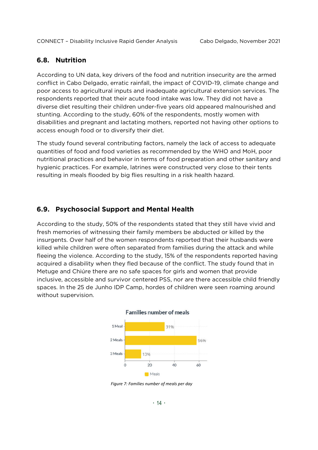#### **6.8. Nutrition**

According to UN data, key drivers of the food and nutrition insecurity are the armed conflict in Cabo Delgado, erratic rainfall, the impact of COVID-19, climate change and poor access to agricultural inputs and inadequate agricultural extension services. The respondents reported that their acute food intake was low. They did not have a diverse diet resulting their children under-five years old appeared malnourished and stunting. According to the study, 60% of the respondents, mostly women with disabilities and pregnant and lactating mothers, reported not having other options to access enough food or to diversify their diet.

The study found several contributing factors, namely the lack of access to adequate quantities of food and food varieties as recommended by the WHO and MoH, poor nutritional practices and behavior in terms of food preparation and other sanitary and hygienic practices. For example, latrines were constructed very close to their tents resulting in meals flooded by big flies resulting in a risk health hazard.

#### **6.9. Psychosocial Support and Mental Health**

According to the study, 50% of the respondents stated that they still have vivid and fresh memories of witnessing their family members be abducted or killed by the insurgents. Over half of the women respondents reported that their husbands were killed while children were often separated from families during the attack and while fleeing the violence. According to the study, 15% of the respondents reported having acquired a disability when they fled because of the conflict. The study found that in Metuge and Chiúre there are no safe spaces for girls and women that provide inclusive, accessible and survivor centered PSS, nor are there accessible child friendly spaces. In the 25 de Junho IDP Camp, hordes of children were seen roaming around without supervision.



*Figure 7: Families number of meals per day*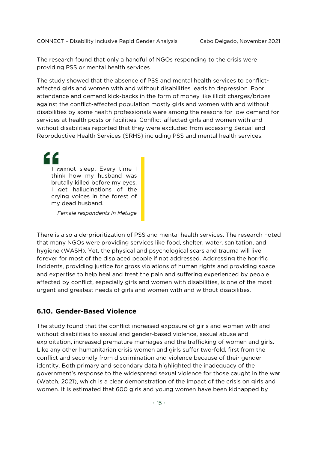The research found that only a handful of NGOs responding to the crisis were providing PSS or mental health services.

The study showed that the absence of PSS and mental health services to conflictaffected girls and women with and without disabilities leads to depression. Poor attendance and demand kick-backs in the form of money like illicit charges/bribes against the conflict-affected population mostly girls and women with and without disabilities by some health professionals were among the reasons for low demand for services at health posts or facilities. Conflict-affected girls and women with and without disabilities reported that they were excluded from accessing Sexual and Reproductive Health Services (SRHS) including PSS and mental health services.

I cannot sleep. Every time I think how my husband was brutally killed before my eyes, I get hallucinations of the crying voices in the forest of my dead husband.

*Female respondents in Metuge*

There is also a de-prioritization of PSS and mental health services. The research noted that many NGOs were providing services like food, shelter, water, sanitation, and hygiene (WASH). Yet, the physical and psychological scars and trauma will live forever for most of the displaced people if not addressed. Addressing the horrific incidents, providing justice for gross violations of human rights and providing space and expertise to help heal and treat the pain and suffering experienced by people affected by conflict, especially girls and women with disabilities, is one of the most urgent and greatest needs of girls and women with and without disabilities.

#### **6.10. Gender-Based Violence**

The study found that the conflict increased exposure of girls and women with and without disabilities to sexual and gender-based violence, sexual abuse and exploitation, increased premature marriages and the trafficking of women and girls. Like any other humanitarian crisis women and girls suffer two-fold, first from the conflict and secondly from discrimination and violence because of their gender identity. Both primary and secondary data highlighted the inadequacy of the government's response to the widespread sexual violence for those caught in the war (Watch, 2021), which is a clear demonstration of the impact of the crisis on girls and women. It is estimated that 600 girls and young women have been kidnapped by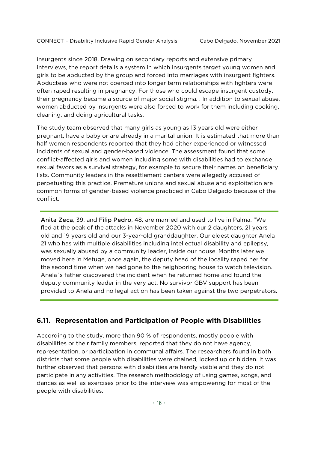insurgents since 2018. Drawing on secondary reports and extensive primary interviews, the report details a system in which insurgents target young women and girls to be abducted by the group and forced into marriages with insurgent fighters. Abductees who were not coerced into longer term relationships with fighters were often raped resulting in pregnancy. For those who could escape insurgent custody, their pregnancy became a source of major social stigma. . In addition to sexual abuse, women abducted by insurgents were also forced to work for them including cooking, cleaning, and doing agricultural tasks.

The study team observed that many girls as young as 13 years old were either pregnant, have a baby or are already in a marital union. It is estimated that more than half women respondents reported that they had either experienced or witnessed incidents of sexual and gender-based violence. The assessment found that some conflict-affected girls and women including some with disabilities had to exchange sexual favors as a survival strategy, for example to secure their names on beneficiary lists. Community leaders in the resettlement centers were allegedly accused of perpetuating this practice. Premature unions and sexual abuse and exploitation are common forms of gender-based violence practiced in Cabo Delgado because of the conflict.

Anita Zeca, 39, and Filip Pedro, 48, are married and used to live in Palma. "We fled at the peak of the attacks in November 2020 with our 2 daughters, 21 years old and 19 years old and our 3-year-old granddaughter. Our eldest daughter Anela 21 who has with multiple disabilities including intellectual disability and epilepsy, was sexually abused by a community leader, inside our house. Months later we moved here in Metuge, once again, the deputy head of the locality raped her for the second time when we had gone to the neighboring house to watch television. Anela´s father discovered the incident when he returned home and found the deputy community leader in the very act. No survivor GBV support has been provided to Anela and no legal action has been taken against the two perpetrators.

#### **6.11. Representation and Participation of People with Disabilities**

According to the study, more than 90 % of respondents, mostly people with disabilities or their family members, reported that they do not have agency, representation, or participation in communal affairs. The researchers found in both districts that some people with disabilities were chained, locked up or hidden. It was further observed that persons with disabilities are hardly visible and they do not participate in any activities. The research methodology of using games, songs, and dances as well as exercises prior to the interview was empowering for most of the people with disabilities.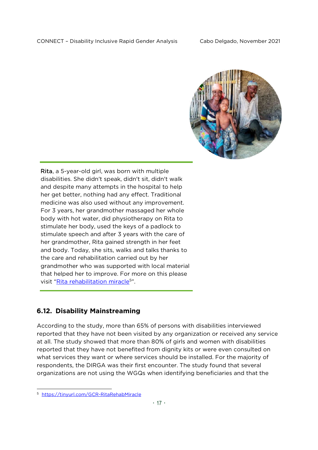

Rita, a 5-year-old girl, was born with multiple disabilities. She didn't speak, didn't sit, didn't walk and despite many attempts in the hospital to help her get better, nothing had any effect. Traditional medicine was also used without any improvement. For 3 years, her grandmother massaged her whole body with hot water, did physiotherapy on Rita to stimulate her body, used the keys of a padlock to stimulate speech and after 3 years with the care of her grandmother, Rita gained strength in her feet and body. Today, she sits, walks and talks thanks to the care and rehabilitation carried out by her grandmother who was supported with local material that helped her to improve. For more on this please visit "[Rita rehabilitation miracle](https://tinyurl.com/GCR-RitaRehabMiracle)<sup>5</sup>".

#### **6.12. Disability Mainstreaming**

According to the study, more than 65% of persons with disabilities interviewed reported that they have not been visited by any organization or received any service at all. The study showed that more than 80% of girls and women with disabilities reported that they have not benefited from dignity kits or were even consulted on what services they want or where services should be installed. For the majority of respondents, the DIRGA was their first encounter. The study found that several organizations are not using the WGQs when identifying beneficiaries and that the

 <sup>5</sup> <https://tinyurl.com/GCR-RitaRehabMiracle>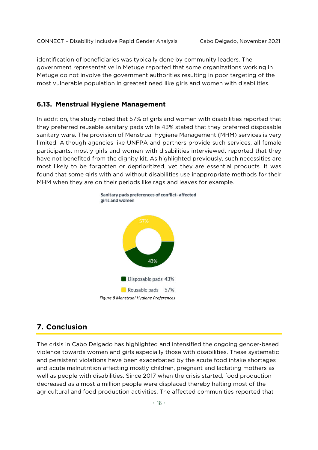identification of beneficiaries was typically done by community leaders. The government representative in Metuge reported that some organizations working in Metuge do not involve the government authorities resulting in poor targeting of the most vulnerable population in greatest need like girls and women with disabilities.

#### **6.13. Menstrual Hygiene Management**

In addition, the study noted that 57% of girls and women with disabilities reported that they preferred reusable sanitary pads while 43% stated that they preferred disposable sanitary ware. The provision of Menstrual Hygiene Management (MHM) services is very limited. Although agencies like UNFPA and partners provide such services, all female participants, mostly girls and women with disabilities interviewed, reported that they have not benefited from the dignity kit. As highlighted previously, such necessities are most likely to be forgotten or deprioritized, yet they are essential products. It was found that some girls with and without disabilities use inappropriate methods for their MHM when they are on their periods like rags and leaves for example.



## **7. Conclusion**

The crisis in Cabo Delgado has highlighted and intensified the ongoing gender-based violence towards women and girls especially those with disabilities. These systematic and persistent violations have been exacerbated by the acute food intake shortages and acute malnutrition affecting mostly children, pregnant and lactating mothers as well as people with disabilities. Since 2017 when the crisis started, food production decreased as almost a million people were displaced thereby halting most of the agricultural and food production activities. The affected communities reported that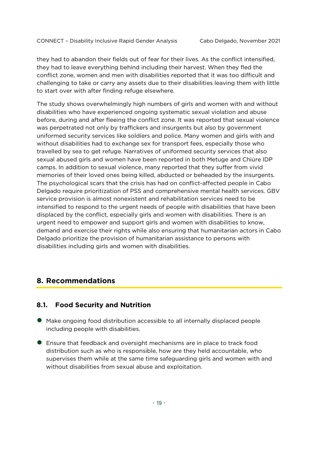they had to abandon their fields out of fear for their lives. As the conflict intensified, they had to leave everything behind including their harvest. When they fled the conflict zone, women and men with disabilities reported that it was too difficult and challenging to take or carry any assets due to their disabilities leaving them with little to start over with after finding refuge elsewhere.

The study shows overwhelmingly high numbers of girls and women with and without disabilities who have experienced ongoing systematic sexual violation and abuse before, during and after fleeing the conflict zone. It was reported that sexual violence was perpetrated not only by traffickers and insurgents but also by government uniformed security services like soldiers and police. Many women and girls with and without disabilities had to exchange sex for transport fees, especially those who travelled by sea to get refuge. Narratives of uniformed security services that also sexual abused girls and women have been reported in both Metuge and Chiúre IDP camps. In addition to sexual violence, many reported that they suffer from vivid memories of their loved ones being killed, abducted or beheaded by the insurgents. The psychological scars that the crisis has had on conflict-affected people in Cabo Delgado require prioritization of PSS and comprehensive mental health services. GBV service provision is almost nonexistent and rehabilitation services need to be intensified to respond to the urgent needs of people with disabilities that have been displaced by the conflict, especially girls and women with disabilities. There is an urgent need to empower and support girls and women with disabilities to know, demand and exercise their rights while also ensuring that humanitarian actors in Cabo Delgado prioritize the provision of humanitarian assistance to persons with disabilities including girls and women with disabilities.

#### **8. Recommendations**

#### **8.1. Food Security and Nutrition**

- Make ongoing food distribution accessible to all internally displaced people including people with disabilities.
- Ensure that feedback and oversight mechanisms are in place to track food distribution such as who is responsible, how are they held accountable, who supervises them while at the same time safeguarding girls and women with and without disabilities from sexual abuse and exploitation.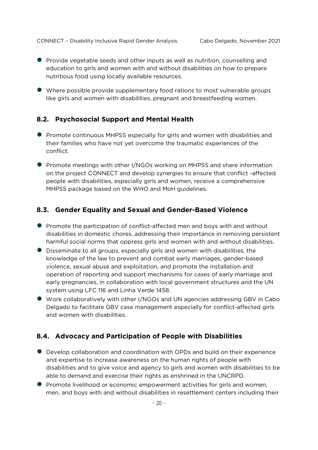- **•** Provide vegetable seeds and other inputs as well as nutrition, counselling and education to girls and women with and without disabilities on how to prepare nutritious food using locally available resources.
- Where possible provide supplementary food rations to most vulnerable groups like girls and women with disabilities, pregnant and breastfeeding women.

#### **8.2. Psychosocial Support and Mental Health**

- **•** Promote continuous MHPSS especially for girls and women with disabilities and their families who have not yet overcome the traumatic experiences of the conflict.
- **•** Promote meetings with other I/NGOs working on MHPSS and share information on the project CONNECT and develop synergies to ensure that conflict -affected people with disabilities, especially girls and women, receive a comprehensive MHPSS package based on the WHO and MoH guidelines.

#### **8.3. Gender Equality and Sexual and Gender-Based Violence**

- **•** Promote the participation of conflict-affected men and boys with and without disabilities in domestic chores, addressing their importance in removing persistent harmful social norms that oppress girls and women with and without disabilities.
- Disseminate to all groups, especially girls and women with disabilities, the knowledge of the law to prevent and combat early marriages, gender-based violence, sexual abuse and exploitation, and promote the installation and operation of reporting and support mechanisms for cases of early marriage and early pregnancies, in collaboration with local government structures and the UN system using LFC 116 and Linha Verde 1458.
- Work collaboratively with other I/NGOs and UN agencies addressing GBV in Cabo Delgado to facilitate GBV case management especially for conflict-affected girls and women with disabilities.

#### **8.4. Advocacy and Participation of People with Disabilities**

- Develop collaboration and coordination with OPDs and build on their experience and expertise to increase awareness on the human rights of people with disabilities and to give voice and agency to girls and women with disabilities to be able to demand and exercise their rights as enshrined in the UNCRPD.
- Promote livelihood or economic empowerment activities for girls and women, men, and boys with and without disabilities in resettlement centers including their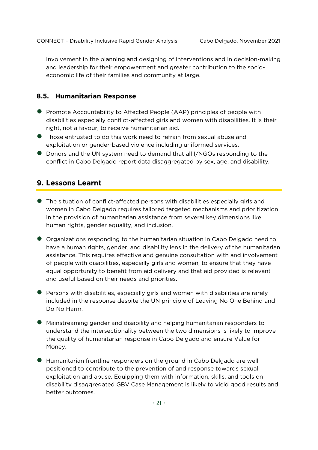involvement in the planning and designing of interventions and in decision-making and leadership for their empowerment and greater contribution to the socioeconomic life of their families and community at large.

#### **8.5. Humanitarian Response**

- **•** Promote Accountability to Affected People (AAP) principles of people with disabilities especially conflict-affected girls and women with disabilities. It is their right, not a favour, to receive humanitarian aid.
- Those entrusted to do this work need to refrain from sexual abuse and exploitation or gender-based violence including uniformed services.
- Donors and the UN system need to demand that all I/NGOs responding to the conflict in Cabo Delgado report data disaggregated by sex, age, and disability.

#### **9. Lessons Learnt**

- The situation of conflict-affected persons with disabilities especially girls and women in Cabo Delgado requires tailored targeted mechanisms and prioritization in the provision of humanitarian assistance from several key dimensions like human rights, gender equality, and inclusion.
- Organizations responding to the humanitarian situation in Cabo Delgado need to have a human rights, gender, and disability lens in the delivery of the humanitarian assistance. This requires effective and genuine consultation with and involvement of people with disabilities, especially girls and women, to ensure that they have equal opportunity to benefit from aid delivery and that aid provided is relevant and useful based on their needs and priorities.
- Persons with disabilities, especially girls and women with disabilities are rarely included in the response despite the UN principle of Leaving No One Behind and Do No Harm.
- Mainstreaming gender and disability and helping humanitarian responders to understand the intersectionality between the two dimensions is likely to improve the quality of humanitarian response in Cabo Delgado and ensure Value for Money.
- Humanitarian frontline responders on the ground in Cabo Delgado are well positioned to contribute to the prevention of and response towards sexual exploitation and abuse. Equipping them with information, skills, and tools on disability disaggregated GBV Case Management is likely to yield good results and better outcomes.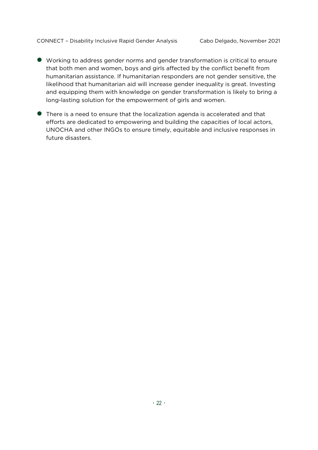- Working to address gender norms and gender transformation is critical to ensure that both men and women, boys and girls affected by the conflict benefit from humanitarian assistance. If humanitarian responders are not gender sensitive, the likelihood that humanitarian aid will increase gender inequality is great. Investing and equipping them with knowledge on gender transformation is likely to bring a long-lasting solution for the empowerment of girls and women.
- There is a need to ensure that the localization agenda is accelerated and that efforts are dedicated to empowering and building the capacities of local actors, UNOCHA and other INGOs to ensure timely, equitable and inclusive responses in future disasters.